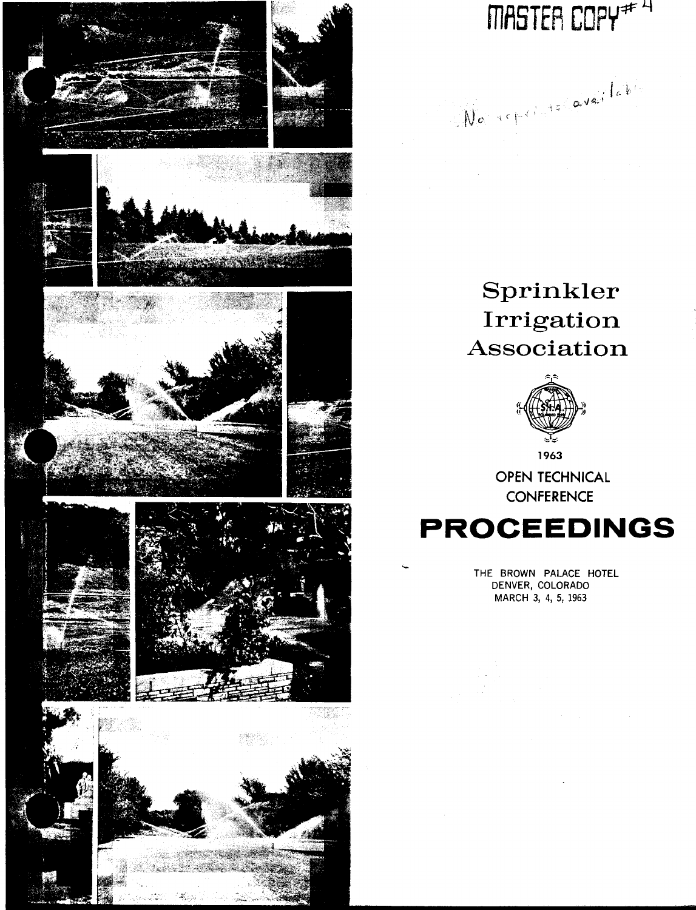

MASTER COPY<sup>\*\* 4</sup>

No reprints avenued

# Sprinkler Irrigation Association



OPEN TECHNICAL **CONFERENCE** 

# **PROCEEDINGS**

THE BROWN PALACE HOTEL DENVER, COLORADO MARCH 3, 4, 5, 1963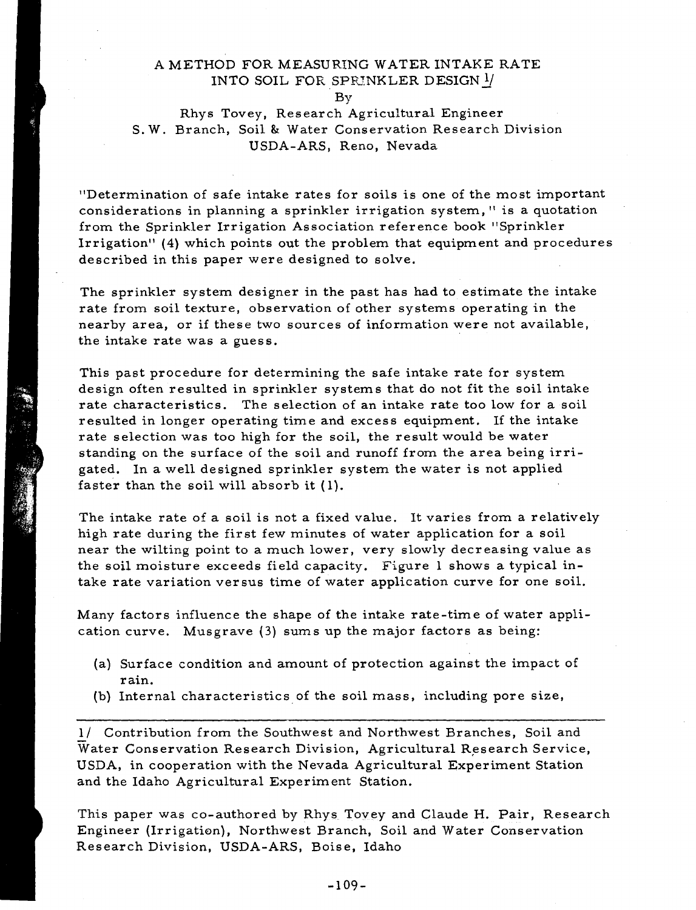### A METHOD FOR MEASURING WATER INTAKE RATE INTO SOIL FOR SPRINKLER DESIGN  $\frac{1}{2}$

By

### Rhys Tovey, Research Agricultural Engineer S. W. Branch, Soil & Water Conservation Research Division USDA-ARS, Reno, Nevada

"Determination of safe intake rates for soils is one of the most important considerations in planning a sprinkler irrigation system," is a quotation from the Sprinkler Irrigation Association reference book "Sprinkler Irrigation" (4) which points out the problem that equipment and procedures described in this paper were designed to solve.

The sprinkler system designer in the past has had to estimate the intake rate from soil texture, observation of other systems operating in the nearby area, or if these two sources of information were not available, the intake rate was a guess.

This past procedure for determining the safe intake rate for system design often resulted in sprinkler systems that do not fit the soil intake rate characteristics. The selection of an intake rate too low for a soil resulted in longer operating time and excess equipment. If the intake rate selection was too high for the soil, the result would be water standing on the surface of the soil and runoff from the area being irrigated. In a well designed sprinkler system the water is not applied faster than the soil will absorb it (1).

The intake rate of a soil is not a fixed value. It varies from a relatively high rate during the first few minutes of water application for a soil near the wilting point to a much lower, very slowly decreasing value as the soil moisture exceeds field capacity. Figure 1 shows a typical intake rate variation versus time of water application curve for one soil.

Many factors influence the shape of the intake rate-time of water application curve. Musgrave (3) sums up the major factors as being:

- (a) Surface condition and amount of protection against the impact of rain.
- (b) Internal characteristics of the soil mass, including pore size,

1/ Contribution from the Southwest and Northwest Branches, Soil and Water Conservation Research Division, Agricultural Research Service, USDA, in cooperation with the Nevada Agricultural Experiment Station and the Idaho Agricultural Experiment Station.

This paper was co-authored by Rhys Tovey and Claude H. Pair, Research Engineer (Irrigation), Northwest Branch, Soil and Water Conservation Research Division, USDA-ARS, Boise, Idaho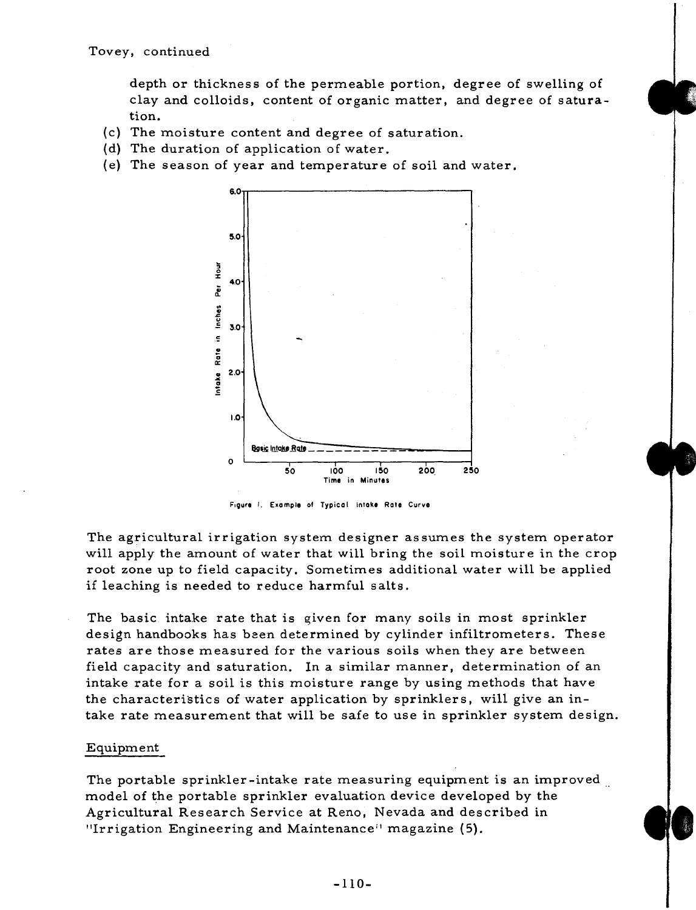depth or thickness of the permeable portion, degree of swelling of clay and colloids, content of organic matter, and degree of saturation.

- (c) The moisture content and degree of saturation.
- (d) The duration of application of water.
- (e) The season of year and temperature of soil and water.



Figure I. Example of Typical intake Rote Curve

The agricultural irrigation system designer assumes the system operator will apply the amount of water that will bring the soil moisture in the crop root zone up to field capacity. Sometimes additional water will be applied if leaching is needed to reduce harmful salts.

The basic intake rate that is given for many soils in most sprinkler design handbooks has been determined by cylinder infiltrometers. These rates are those measured for the various soils when they are between field capacity and saturation. In a similar manner, determination of an intake rate for a soil is this moisture range by using methods that have the characteristics of water application by sprinklers, will give an intake rate measurement that will be safe to use in sprinkler system design.

#### Equipment

The portable sprinkler-intake rate measuring equipment is an improved model of the portable sprinkler evaluation device developed by the Agricultural Research Service at Reno, Nevada and described in "Irrigation Engineering and Maintenance" magazine (5).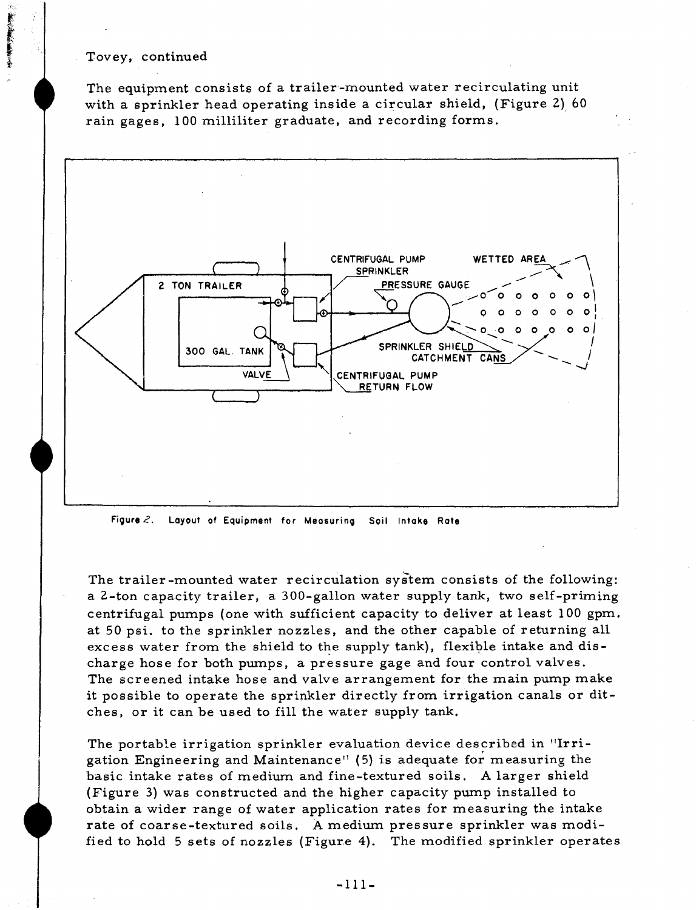**おおやく おおおい おおおい あまる** 

The equipment consists of a trailer-mounted water recirculating unit with a sprinkler head operating inside a circular shield, (Figure 2) 60 rain gages, 100 milliliter graduate, and recording forms.



**Figure** 2. Layout of Equipment for **Measuring Soil Intake Rate**

The trailer-mounted water recirculation system consists of the following: a 2-ton capacity trailer, a 300-gallon water supply tank, two self-priming centrifugal pumps (one with sufficient capacity to deliver at least 100 gpm. at 50 psi, to the sprinkler nozzles, and the other capable of returning all excess water from the shield to the supply tank), flexible intake and discharge hose for both pumps, a pressure gage and four control valves. The screened intake hose and valve arrangement for the main pump make it possible to operate the sprinkler directly from irrigation canals or ditches, or it can be used to fill the water supply tank.

The portable irrigation sprinkler evaluation device described in "Irrigation Engineering and Maintenance" (5) is adequate for measuring the basic intake rates of medium and fine-textured soils. A larger shield (Figure 3) was constructed and the higher capacity pump installed to obtain a wider range of water application rates for measuring the intake rate of coarse-textured soils. A medium pressure sprinkler was modified to hold 5 sets of nozzles (Figure 4). The modified sprinkler operates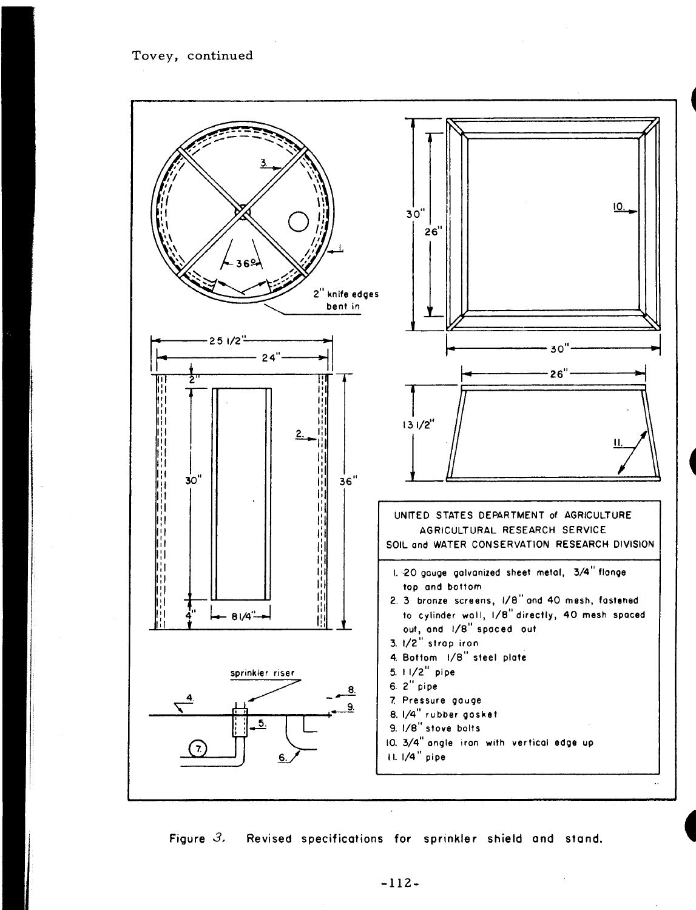

**Figure** *3,* **Revised specifications for sprinkler shield and stand.**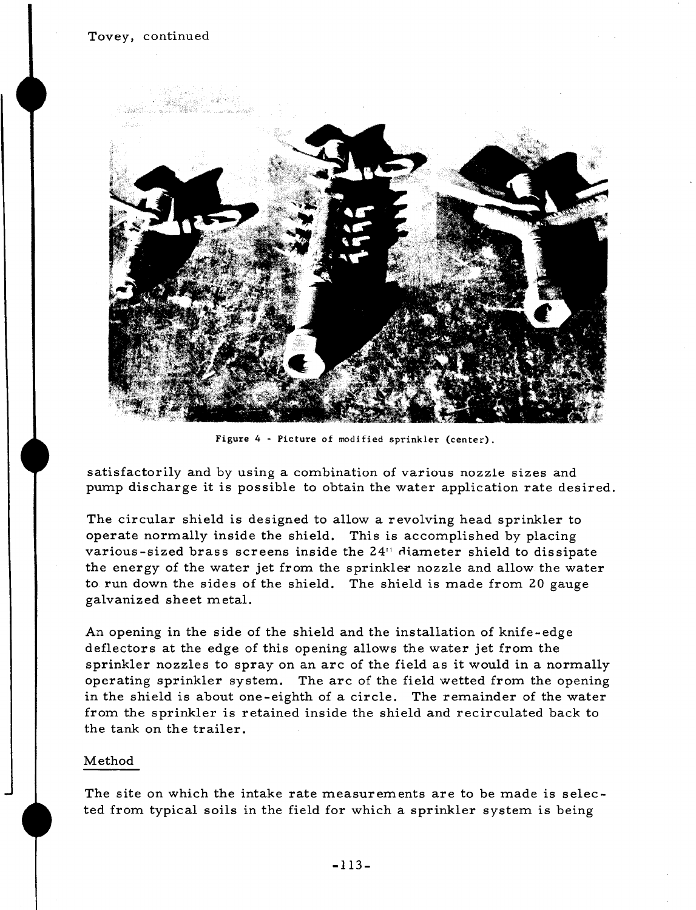

Figure 4 - Picture of modified sprinkler (center).

satisfactorily and by using a combination of various nozzle sizes and pump discharge it is possible to obtain the water application rate desired.

The circular shield is designed to allow a revolving head sprinkler to operate normally inside the shield. This is accomplished by placing various-sized brass screens inside the 24" diameter shield to dissipate the energy of the water jet from the sprinkles nozzle and allow the water to run down the sides of the shield. The shield is made from 20 gauge galvanized sheet metal.

An opening in the side of the shield and the installation of knife-edge deflectors at the edge of this opening allows the water jet from the sprinkler nozzles to spray on an arc of the field as it would in a normally operating sprinkler system. The arc of the field wetted from the opening in the shield is about one-eighth of a circle. The remainder of the water from the sprinkler is retained inside the shield and recirculated back to the tank on the trailer.

#### Method

The site on which the intake rate measurements are to be made is selected from typical soils in the field for which a sprinkler system is being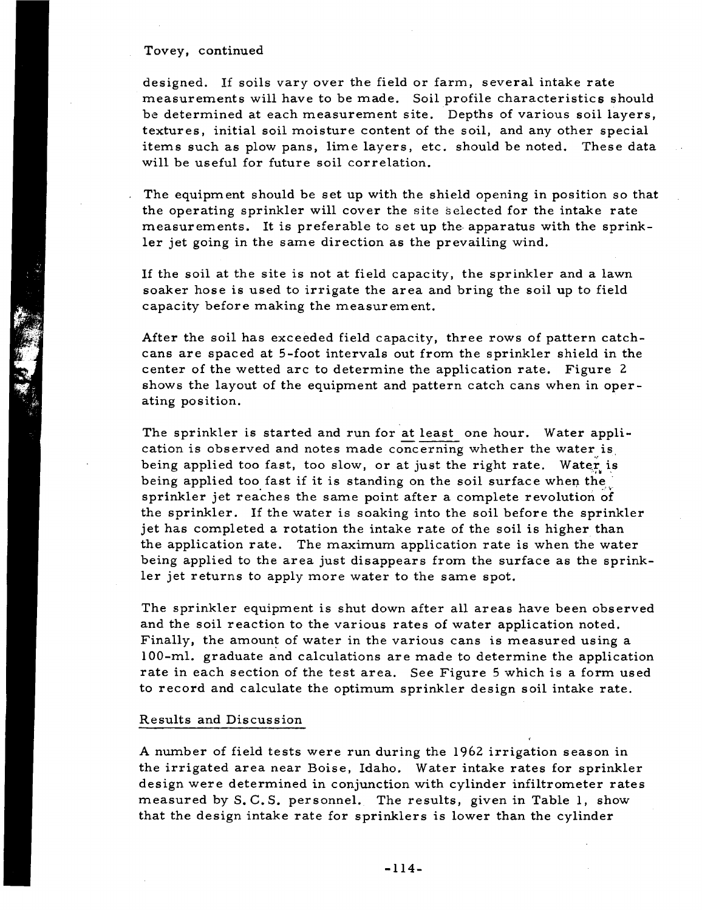designed. If soils vary over the field or farm, several intake rate measurements will have to be made. Soil profile characteristics should be determined at each measurement site. Depths of various soil layers, textures, initial soil moisture content of the soil, and any other special items such as plow pans, lime layers, etc. should be noted. These data will be useful for future soil correlation.

The equipment should be set up with the shield opening in position so that the operating sprinkler will cover the site selected for the intake rate measurements. It is preferable to set up the apparatus with the sprinkler jet going in the same direction as the prevailing wind.

If the soil at the site is not at field capacity, the sprinkler and a lawn soaker hose is used to irrigate the area and bring the soil up to field capacity before making the measurement.

After the soil has exceeded field capacity, three rows of pattern catchcans are spaced at 5-foot intervals out from the sprinkler shield in the center of the wetted arc to determine the application rate. Figure 2 shows the layout of the equipment and pattern catch cans when in operating position.

The sprinkler is started and run for at least one hour. Water application is observed and notes made concerning whether the water is , being applied too fast, too slow, or at just the right rate. Water is being applied too fast if it is standing on the soil surface when the sprinkler jet reaches the same point after a complete revolution of the sprinkler. If the water is soaking into the soil before the sprinkler jet has completed a rotation the intake rate of the soil is higher than the application rate. The maximum application rate is when the water being applied to the area just disappears from the surface as the sprinkler jet returns to apply more water to the same spot.

The sprinkler equipment is shut down after all areas have been observed and the soil reaction to the various rates of water application noted. Finally, the amount of water in the various cans is measured using a 100-ml. graduate and calculations are made to determine the application rate in each section of the test area. See Figure 5 which is a form used to record and calculate the optimum sprinkler design soil intake rate.

#### Results and Discussion

A number of field tests were run during the 1962 irrigation season in the irrigated area near Boise, Idaho. Water intake rates for sprinkler design were determined in conjunction with cylinder infiltrometer rates measured by S. C.S. personnel. The results, given in Table 1, show that the design intake rate for sprinklers is lower than the cylinder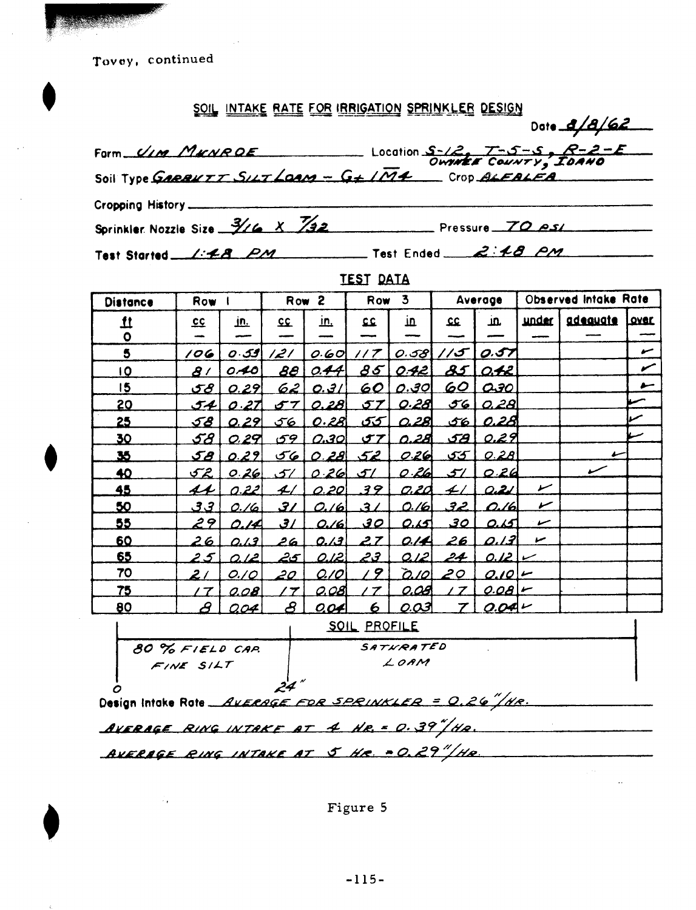## **<u>SOIL INTAKE RATE FOR IRRIGATION SPRINKLER DESIGN</u>**

| SOIL INTAKE RATE FOR IRRIGATION SPRINKLER DESIGN                                      |
|---------------------------------------------------------------------------------------|
| Date 8/8/62                                                                           |
| Form $\frac{U_{IM}}{M_{KNRQE}}$<br>Soil Type GARBUTT SILT LOAM - G+ IM4 COUNTY, IDANG |
|                                                                                       |
|                                                                                       |
| Sprinkler Nozzle Size $\frac{3}{16} \times \frac{7}{32}$<br>Pressure 70 ps/           |
| Test Ended $2:18$ PM<br>Test Started 1:48 PM                                          |

# TEST DATA

| <b>Distance</b> | <b>Row</b>           |              | $\overline{\mathbf{2}}$<br>Row |              | 3<br><b>Row</b> |                | Average    |                 | Observed Intake Rate |          |              |
|-----------------|----------------------|--------------|--------------------------------|--------------|-----------------|----------------|------------|-----------------|----------------------|----------|--------------|
| $\mathbf{\mu}$  | <u>cc</u>            | <u>in.</u>   | <u>cc</u>                      | īū.          | 22              | 血              | 22         | in.             | under i              | adeauate | <b>Lover</b> |
| $\bullet$       |                      | ----         |                                |              |                 |                |            |                 |                      |          |              |
| 5               | 106                  | 0.59         | 121                            | 0.60         | 1/7             | 0.58           | 15         | 0.57            |                      |          | سمع          |
| <u>10</u>       | 81                   | 0.40         | 88                             | 0.44         | 35              | 0.42           | 85         | <u>042 </u>     |                      |          | ∕            |
| 15              | <u>ح ی</u>           | 0.29         | <u>621</u>                     | 0.31         | $60 \mid$       | <u>0.301</u>   |            | <u>60 030</u>   |                      |          | سو           |
| 20              | <u>54  </u>          | 0.27         | $\sigma$ $\tau$ $\vert$        | 0.28         |                 | <u>57 0.28</u> |            | <u>56 0.28 </u> |                      |          |              |
| 25              | <u>58  </u>          | 0.29         | 56                             | <u>0.281</u> |                 | 55 0.28        |            | 56 0.28         |                      |          |              |
| 30              | <u>58  </u>          | <u>0.29 </u> | <u>ا 59 ک</u>                  | 0.30         | <u>احی</u>      | <u>0.28 </u>   | <u>اھى</u> | <u>0.29 </u>    |                      |          |              |
| 35              | <u>ا هۍ</u>          | 0.29         |                                | 560.2852     |                 | 026            | اكتى       | 0.28            |                      |          |              |
| 40              | 52.                  | 0.26         | 51                             | $0.26$ 51    |                 | 0.26           | 51         | 0.26            |                      |          |              |
| 45              | 44                   | 0.22         | 4/                             |              | 0.20 39         |                | $0.20 + 1$ | 0.21            | سمع                  |          |              |
| 50              | <u>ا في في</u>       | 0./6         | 37                             | 0.16         | 31              | <u>0./61</u>   | <u>حمق</u> | 0.161           | ど                    |          |              |
| 55              | 29                   | 0.IA         | $\mathcal{L}$                  | 0.16         | <u>30</u>       | ত ব            | <u>حى</u>  | <u>اکت</u>      | سمع                  |          |              |
| 60              | 26                   | 0.13         | 26                             | 0.13         | 27              | 0.14           | 26         | <u>0.13 </u>    | سما                  |          |              |
| 65              | 25                   | <u>0.121</u> | <u> 25 </u>                    | 0.12         | <u>حجر</u>      | <u>012 </u>    | 24         | $0.12 -$        |                      |          |              |
| 70              | 2/                   | O. / O       | <u>20.</u>                     | [0.70]       | 19              | <u>6.70  </u>  | 20         | $0.10 -$        |                      |          |              |
| <u>75 </u>      | 17                   | 0.08         | $\prime$ $\tau$                | <u>0.081</u> | 17              | 0.08           | 17         | $0.081-$        |                      |          |              |
| 80              | $\boldsymbol{\beta}$ | <u>0.04</u>  | <u>ද</u>                       | <u>0.04</u>  | 6               | <u>0.03 </u>   |            | $0.04 -$        |                      |          |              |

|                                 | <b>SOIL PROFILE</b>                                         |  |
|---------------------------------|-------------------------------------------------------------|--|
| 80 % FIELD CAR<br>$F/NE$ $S/LT$ | SATHRATED<br>LOAM                                           |  |
|                                 | Design Intoke Rote <i>Average for SPRINKLER = 0.26"/Hr.</i> |  |

AVERAGE RING INTAKE AT 4 HR. = 0.39<sup>"</sup>/HR.

*FA"* **.PING A/** 7:41.4" *Ai<sup>r</sup> AT* n*5"- Ae.e. -* 7.5/A,.

Figure 5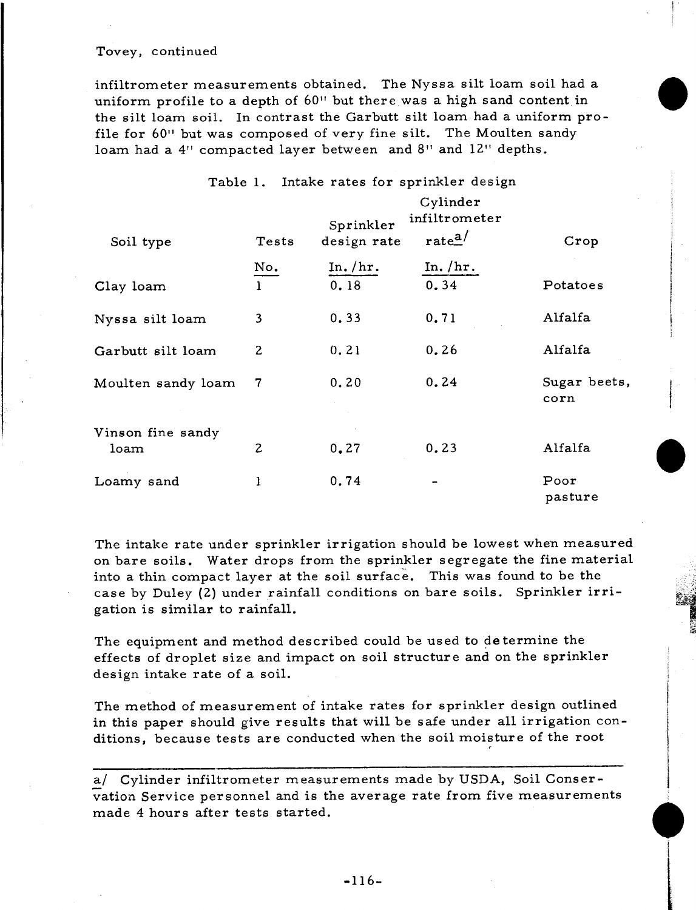infiltrometer measurements obtained. The Nyssa silt loam soil had a uniform profile to a depth of 60" but there was a high sand content in the silt loam soil. In contrast the Garbutt silt loam had a uniform profile for 60" but was composed of very fine silt. The Moulten sandy loam had a 4" compacted layer between and 8" and 12" depths.

| Table 1. Intake rates for sprinkler design |                |                          |                                                |                      |  |  |  |  |
|--------------------------------------------|----------------|--------------------------|------------------------------------------------|----------------------|--|--|--|--|
| Soil type                                  | Tests          | Sprinkler<br>design rate | Cylinder<br>infiltrometer<br>rate <sup>a</sup> | Crop                 |  |  |  |  |
|                                            | No.            | In. $/hr.$               | In. $/\mathrm{hr}_{\odot}$                     |                      |  |  |  |  |
| Clay loam                                  | $\mathbf{1}$   | 0.18                     | 0.34                                           | Potatoes             |  |  |  |  |
| Nyssa silt loam                            | 3              | 0.33                     | 0.71                                           | Alfalfa              |  |  |  |  |
| Garbutt silt loam                          | $\mathbf{2}$   | 0.21                     | 0.26                                           | Alfalfa              |  |  |  |  |
| Moulten sandy loam                         | 7              | 0.20                     | 0.24                                           | Sugar beets,<br>corn |  |  |  |  |
| Vinson fine sandy                          |                |                          |                                                |                      |  |  |  |  |
| loam                                       | $\overline{c}$ | 0, 27                    | 0.23                                           | Alfalfa              |  |  |  |  |
| Loamy sand                                 | ı              | 0.74                     |                                                | Poor<br>pasture      |  |  |  |  |

The intake rate under sprinkler irrigation should be lowest when measured on bare soils. Water drops from the sprinkler segregate the fine material into a thin compact layer at the soil surface. This was found to be the case by Duley (2) under rainfall conditions on bare soils. Sprinkler irrigation is similar to rainfall.

The equipment and method described could be used to determine the effects of droplet size and impact on soil structure and on the sprinkler design intake rate of a soil.

The method of measurement of intake rates for sprinkler design outlined in this paper should give results that will be safe under all irrigation conditions, because tests are conducted when the soil moisture of the root

a/ Cylinder infiltrometer measurements made by USDA, Soil Conser-<br>vation Service personnel and is the average rate from five measurements<br>made 4 hours after tests started. vation Service personnel and is the average rate from five measurements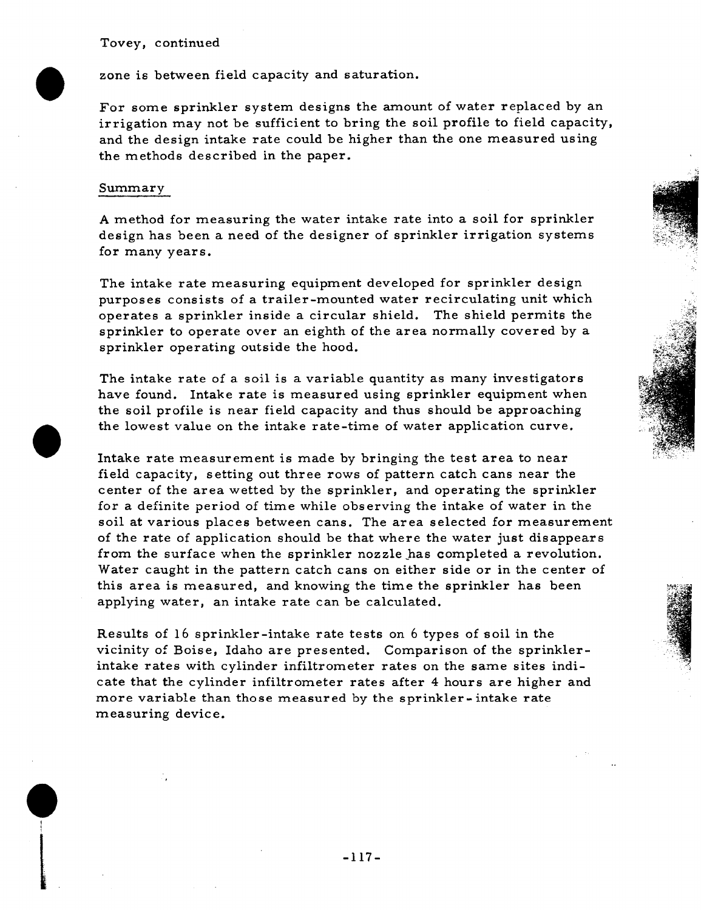zone is between field capacity and saturation.

For some sprinkler system designs the amount of water replaced by an irrigation may not be sufficient to bring the soil profile to field capacity, and the design intake rate could be higher than the one measured using the methods described in the paper.

#### Summary

**•**

A method for measuring the water intake rate into a soil for sprinkler design has been a need of the designer of sprinkler irrigation systems for many years.

The intake rate measuring equipment developed for sprinkler design purposes consists of a trailer-mounted water recirculating unit which operates a sprinkler inside a circular shield. The shield permits the sprinkler to operate over an eighth of the area normally covered by a sprinkler operating outside the hood.

The intake rate of a soil is a variable quantity as many investigators have found. Intake rate is measured using sprinkler equipment when the soil profile is near field capacity and thus should be approaching the lowest value on the intake rate-time of water application curve.

Intake rate measurement is made by bringing the test area to near field capacity, setting out three rows of pattern catch cans near the center of the area wetted by the sprinkler, and operating the sprinkler for a definite period of time while observing the intake of water in the soil at various places between cans. The area selected for measurement of the rate of application should be that where the water just disappears from the surface when the sprinkler nozzle has completed a revolution. Water caught in the pattern catch cans on either side or in the center of this area is measured, and knowing the time the sprinkler has been applying water, an intake rate can be calculated.

Results of 16 sprinkler-intake rate tests on 6 types of soil in the vicinity of Boise, Idaho are presented. Comparison of the sprinklerintake rates with cylinder infiltrometer rates on the same sites indicate that the cylinder infiltrometer rates after 4 hours are higher and more variable than those measured by the sprinkler- intake rate measuring device.